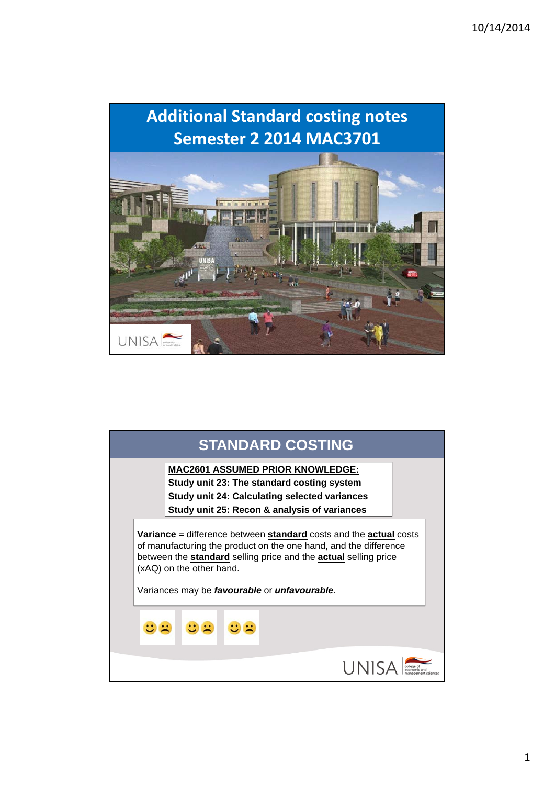

|                          | <b>STANDARD COSTING</b>                              |                                                                               |  |
|--------------------------|------------------------------------------------------|-------------------------------------------------------------------------------|--|
|                          | <b>MAC2601 ASSUMED PRIOR KNOWLEDGE:</b>              |                                                                               |  |
|                          | Study unit 23: The standard costing system           |                                                                               |  |
|                          | <b>Study unit 24: Calculating selected variances</b> |                                                                               |  |
|                          | Study unit 25: Recon & analysis of variances         |                                                                               |  |
| (xAQ) on the other hand. | Variances may be favourable or unfavourable.         | between the <b>standard</b> selling price and the <b>actual</b> selling price |  |
|                          |                                                      |                                                                               |  |
|                          |                                                      |                                                                               |  |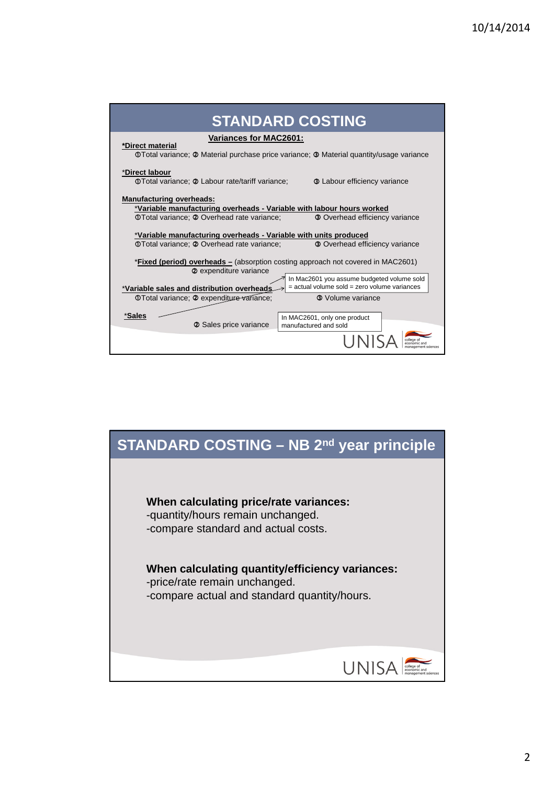| <b>STANDARD COSTING</b>                                                                                             |
|---------------------------------------------------------------------------------------------------------------------|
| <b>Variances for MAC2601:</b><br>*Direct material                                                                   |
| <b>OTotal variance: @ Material purchase price variance: @ Material quantity/usage variance</b>                      |
| *Direct labour                                                                                                      |
| <b>OTotal variance: @ Labour rate/tariff variance:</b><br><b>3</b> Labour efficiency variance                       |
| <b>Manufacturing overheads:</b>                                                                                     |
| *Variable manufacturing overheads - Variable with labour hours worked                                               |
| <b>3</b> Overhead efficiency variance<br><b>OTotal variance: @ Overhead rate variance:</b>                          |
| *Variable manufacturing overheads - Variable with units produced                                                    |
| <b>OTotal variance: @ Overhead rate variance:</b><br><b>3</b> Overhead efficiency variance                          |
| <b>*Fixed (period) overheads</b> – (absorption costing approach not covered in MAC2601)                             |
| 2 expenditure variance                                                                                              |
| In Mac2601 you assume budgeted volume sold<br>$=$ actual volume sold $=$ zero volume variances                      |
| *Variable sales and distribution overheads<br><b>3</b> Volume variance<br>O Total variance; 2 expenditure variance; |
|                                                                                                                     |
| *Sales<br>In MAC2601, only one product<br>2 Sales price variance<br>manufactured and sold                           |
|                                                                                                                     |

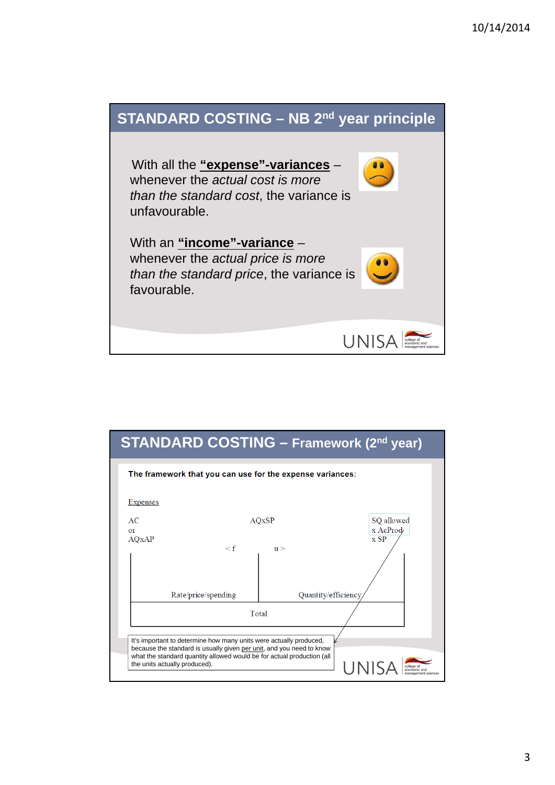

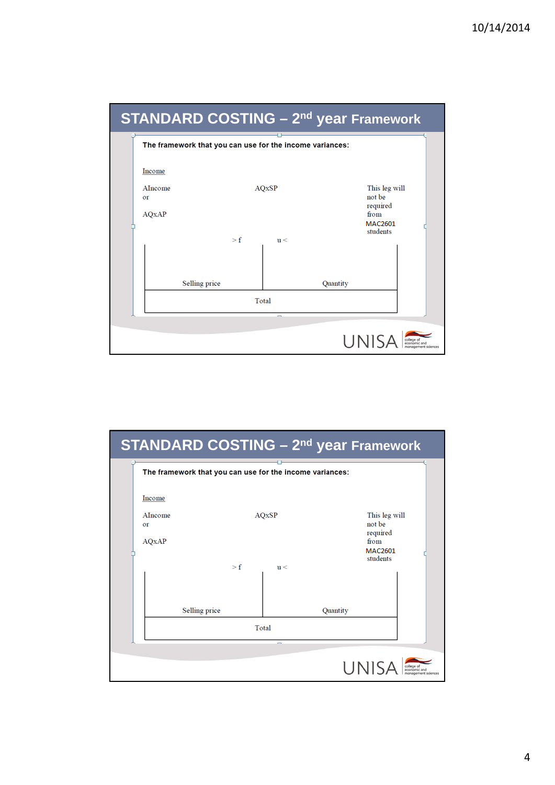

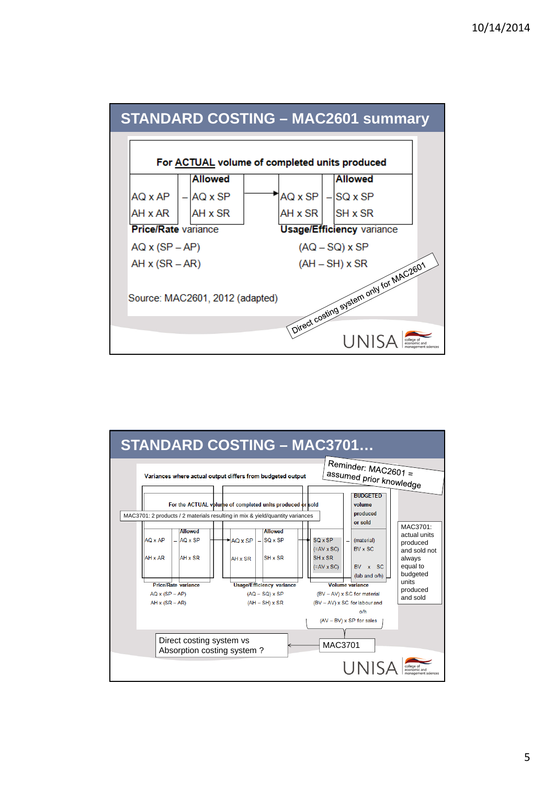

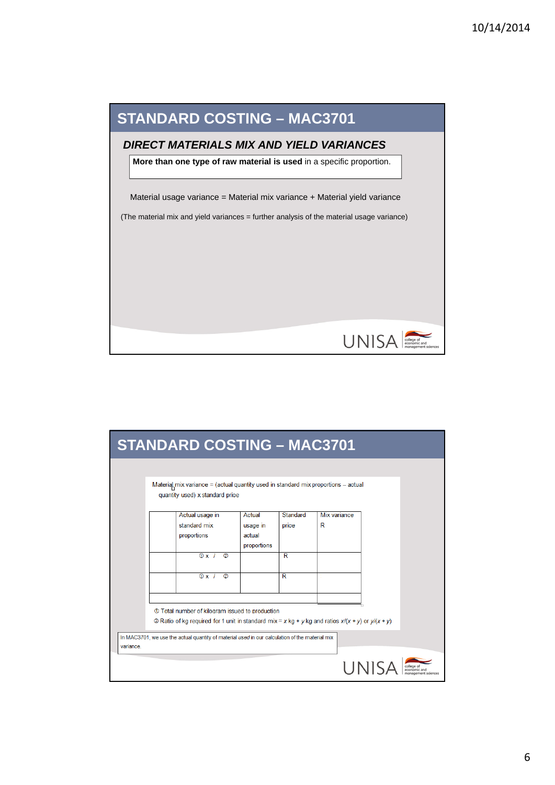

|           | <b>STANDARD COSTING - MAC3701</b>                                                                                     |                       |          |              |              |  |
|-----------|-----------------------------------------------------------------------------------------------------------------------|-----------------------|----------|--------------|--------------|--|
|           | Material mix variance = (actual quantity used in standard mix proportions - actual<br>quantity used) x standard price |                       |          |              |              |  |
|           | Actual usage in                                                                                                       | Actual                | Standard | Mix variance |              |  |
|           | standard mix                                                                                                          | usage in              | price    | R            |              |  |
|           | proportions                                                                                                           | actual<br>proportions |          |              |              |  |
|           | $\mathbf{0} \times$ $\mathbf{r}$<br>$\circ$                                                                           |                       | R        |              |              |  |
|           | $\overline{0}$ x $\overline{1}$<br>$\circ$                                                                            |                       | R        |              |              |  |
|           | <b>① Total number of kilogram issued to production</b>                                                                |                       |          |              |              |  |
|           | $\oslash$ Ratio of kg required for 1 unit in standard mix = x kg + y kg and ratios x/(x + y) or y/(x + y)             |                       |          |              |              |  |
| variance. | In MAC3701, we use the actual quantity of material used in our calculation of the material mix                        |                       |          |              |              |  |
|           |                                                                                                                       |                       |          |              | <b>UNISA</b> |  |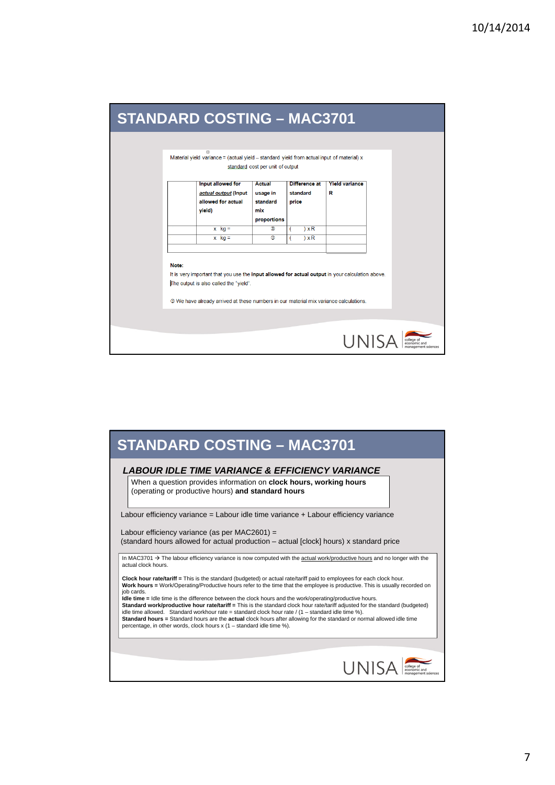| <b>STANDARD COSTING - MAC3701</b> |                                                                                                                                                   |                                  |                   |                       |              |  |
|-----------------------------------|---------------------------------------------------------------------------------------------------------------------------------------------------|----------------------------------|-------------------|-----------------------|--------------|--|
|                                   | п<br>Material yield variance = (actual yield - standard yield from actual input of material) x                                                    |                                  |                   |                       |              |  |
|                                   |                                                                                                                                                   | standard cost per unit of output |                   |                       |              |  |
|                                   | Input allowed for                                                                                                                                 | <b>Actual</b>                    | Difference at     | <b>Yield variance</b> |              |  |
|                                   | actual output (Input<br>allowed for actual                                                                                                        | usage in<br>standard             | standard<br>price | R                     |              |  |
|                                   | yield)                                                                                                                                            | mix                              |                   |                       |              |  |
|                                   |                                                                                                                                                   | proportions                      |                   |                       |              |  |
|                                   | $x$ $kg =$                                                                                                                                        | $\circledcirc$<br>$^{\circ}$     | xR<br>xR          |                       |              |  |
|                                   | $x$ $kg =$                                                                                                                                        |                                  | C                 |                       |              |  |
|                                   |                                                                                                                                                   |                                  |                   |                       |              |  |
| Note:                             |                                                                                                                                                   |                                  |                   |                       |              |  |
|                                   | It is very important that you use the <b>input allowed for actual output</b> in your calculation above.<br>The output is also called the "yield". |                                  |                   |                       |              |  |
|                                   |                                                                                                                                                   |                                  |                   |                       |              |  |
|                                   | 3 We have already arrived at these numbers in our material mix variance calculations.                                                             |                                  |                   |                       |              |  |
|                                   |                                                                                                                                                   |                                  |                   |                       |              |  |
|                                   |                                                                                                                                                   |                                  |                   |                       |              |  |
|                                   |                                                                                                                                                   |                                  |                   |                       | <b>UNISA</b> |  |

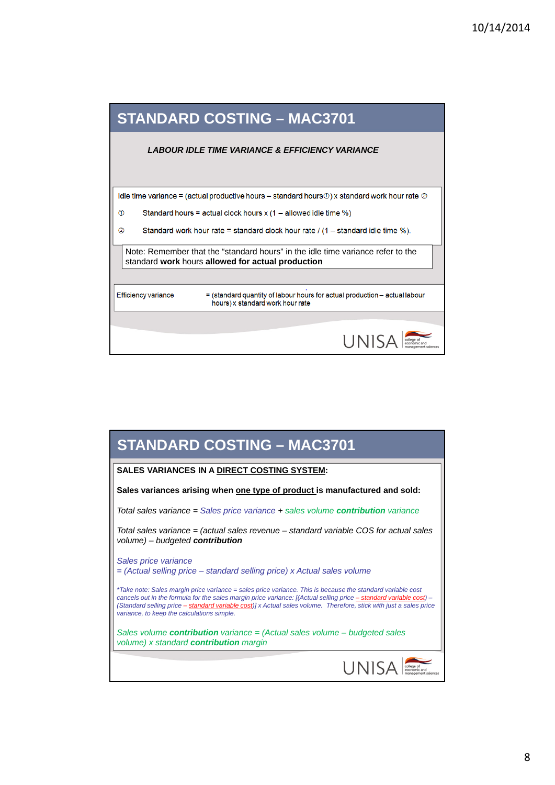|                            | <b>STANDARD COSTING - MAC3701</b>                                                                                                    |
|----------------------------|--------------------------------------------------------------------------------------------------------------------------------------|
|                            | <b>LABOUR IDLE TIME VARIANCE &amp; EFFICIENCY VARIANCE</b>                                                                           |
|                            |                                                                                                                                      |
|                            | Idle time variance = (actual productive hours $-$ standard hours $\circled{)}$ ) x standard work hour rate $\circled{)}$             |
| $\circ$                    | Standard hours = actual clock hours $x(1 - \text{allowed idle time }\%)$                                                             |
| $\circ$                    | Standard work hour rate = standard clock hour rate / $(1 -$ standard idle time %).                                                   |
|                            | Note: Remember that the "standard hours" in the idle time variance refer to the<br>standard work hours allowed for actual production |
|                            |                                                                                                                                      |
| <b>Efficiency variance</b> | = (standard quantity of labour hours for actual production - actual labour<br>hours) x standard work hour rate                       |
|                            |                                                                                                                                      |
|                            | <b>UNIS</b>                                                                                                                          |

| <b>STANDARD COSTING - MAC3701</b>                                                                                                                                                                                                                                                                                                                                                                      |
|--------------------------------------------------------------------------------------------------------------------------------------------------------------------------------------------------------------------------------------------------------------------------------------------------------------------------------------------------------------------------------------------------------|
| SALES VARIANCES IN A DIRECT COSTING SYSTEM:                                                                                                                                                                                                                                                                                                                                                            |
| Sales variances arising when one type of product is manufactured and sold:                                                                                                                                                                                                                                                                                                                             |
| <b>Total sales variance = Sales price variance + sales volume contribution variance</b>                                                                                                                                                                                                                                                                                                                |
| Total sales variance = (actual sales revenue - standard variable COS for actual sales<br>volume) - budgeted contribution                                                                                                                                                                                                                                                                               |
| Sales price variance<br>= (Actual selling price – standard selling price) x Actual sales volume                                                                                                                                                                                                                                                                                                        |
| *Take note: Sales margin price variance = sales price variance. This is because the standard variable cost<br>cancels out in the formula for the sales margin price variance: [(Actual selling price $-$ standard variable cost) –<br>(Standard selling price - standard variable cost)] x Actual sales volume. Therefore, stick with just a sales price<br>variance, to keep the calculations simple. |
| Sales volume <b>contribution</b> variance $=$ (Actual sales volume $-$ budgeted sales<br>volume) x standard contribution margin                                                                                                                                                                                                                                                                        |
| UNIS                                                                                                                                                                                                                                                                                                                                                                                                   |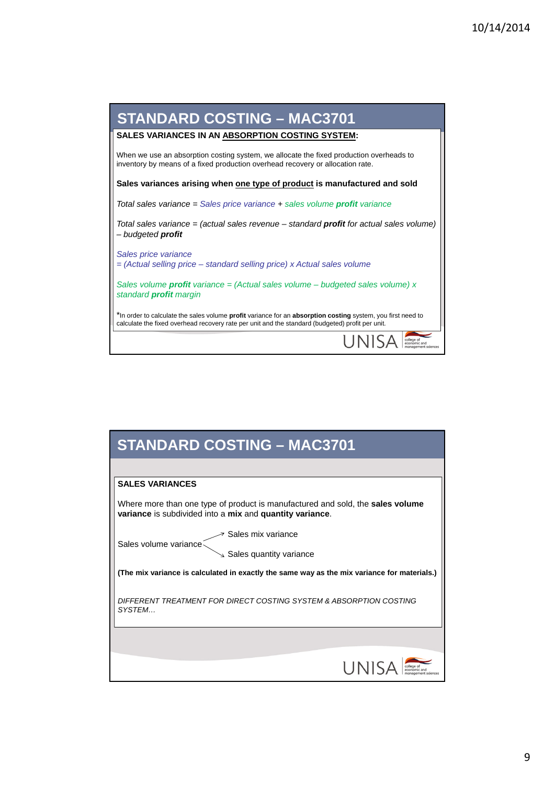

| <b>STANDARD COSTING - MAC3701</b>                                                                                                                 |
|---------------------------------------------------------------------------------------------------------------------------------------------------|
|                                                                                                                                                   |
| <b>SALES VARIANCES</b>                                                                                                                            |
| Where more than one type of product is manufactured and sold, the <b>sales volume</b><br>variance is subdivided into a mix and quantity variance. |
| Sales mix variance                                                                                                                                |
| Sales volume variance<br>$\le$ Sales quantity variance                                                                                            |
| (The mix variance is calculated in exactly the same way as the mix variance for materials.)                                                       |
| DIFFERENT TREATMENT FOR DIRECT COSTING SYSTEM & ABSORPTION COSTING<br><b>SYSTEM</b>                                                               |
|                                                                                                                                                   |
| UNIS,                                                                                                                                             |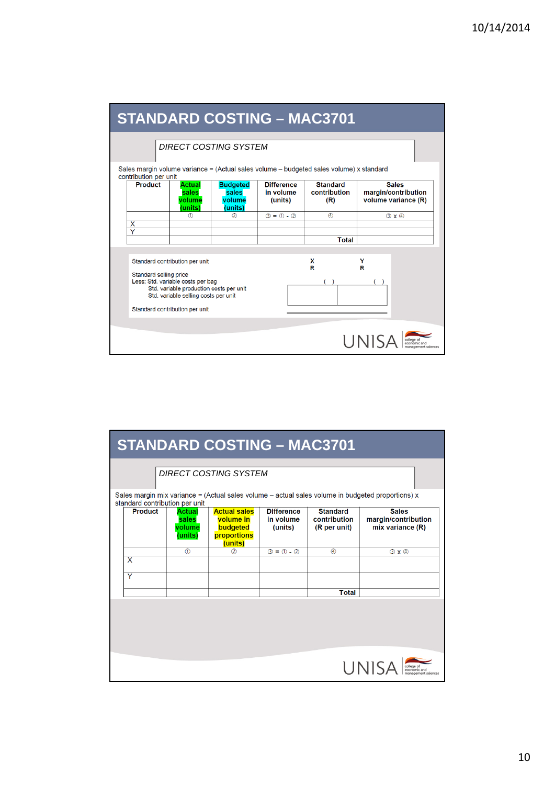|                                                          |                                                                                 |                                               |                                           | <b>STANDARD COSTING - MAC3701</b>                                                         |                                                            |
|----------------------------------------------------------|---------------------------------------------------------------------------------|-----------------------------------------------|-------------------------------------------|-------------------------------------------------------------------------------------------|------------------------------------------------------------|
|                                                          |                                                                                 | <b>DIRECT COSTING SYSTEM</b>                  |                                           |                                                                                           |                                                            |
| contribution per unit                                    |                                                                                 |                                               |                                           | Sales margin volume variance = (Actual sales volume $-$ budgeted sales volume) x standard |                                                            |
| <b>Product</b>                                           | <b>Actual</b><br>sales<br>volume<br>(units)                                     | <b>Budgeted</b><br>sales<br>volume<br>(units) | <b>Difference</b><br>in volume<br>(units) | <b>Standard</b><br>contribution<br>(R)                                                    | <b>Sales</b><br>margin/contribution<br>volume variance (R) |
|                                                          | $\bigcirc$                                                                      | (2)                                           | $(3) = (1) - (2)$                         | $\circled{4}$                                                                             | 3x0                                                        |
| X<br>$\overline{\mathsf{Y}}$                             |                                                                                 |                                               |                                           |                                                                                           |                                                            |
|                                                          |                                                                                 |                                               |                                           | <b>Total</b>                                                                              |                                                            |
| Standard contribution per unit<br>Standard selling price | Less: Std. variable costs per bag                                               |                                               |                                           | x<br>R                                                                                    | Y<br>R                                                     |
|                                                          | Std. variable production costs per unit<br>Std. variable selling costs per unit |                                               |                                           |                                                                                           |                                                            |
| Standard contribution per unit                           |                                                                                 |                                               |                                           |                                                                                           |                                                            |
|                                                          |                                                                                 |                                               |                                           |                                                                                           |                                                            |
|                                                          |                                                                                 |                                               |                                           |                                                                                           | <b>UNISA</b>                                               |

|                                |                                             | <b>STANDARD COSTING - MAC3701</b>                                      |                                           |                                                 |                                                                                                     |
|--------------------------------|---------------------------------------------|------------------------------------------------------------------------|-------------------------------------------|-------------------------------------------------|-----------------------------------------------------------------------------------------------------|
|                                |                                             | <b>DIRECT COSTING SYSTEM</b>                                           |                                           |                                                 |                                                                                                     |
| standard contribution per unit |                                             |                                                                        |                                           |                                                 | Sales margin mix variance = (Actual sales volume $-$ actual sales volume in budgeted proportions) x |
| <b>Product</b>                 | <b>Actual</b><br>sales<br>volume<br>(units) | <b>Actual sales</b><br>volume in<br>budgeted<br>proportions<br>(units) | <b>Difference</b><br>in volume<br>(units) | <b>Standard</b><br>contribution<br>(R per unit) | <b>Sales</b><br>margin/contribution<br>mix variance $(R)$                                           |
|                                | $\circledcirc$                              | $\circled{2}$                                                          | $(3) = (1) - (2)$                         | $\circledA$                                     | 9x0                                                                                                 |
| X                              |                                             |                                                                        |                                           |                                                 |                                                                                                     |
| Y                              |                                             |                                                                        |                                           |                                                 |                                                                                                     |
|                                |                                             |                                                                        |                                           | <b>Total</b>                                    |                                                                                                     |
|                                |                                             |                                                                        |                                           |                                                 |                                                                                                     |
|                                |                                             |                                                                        |                                           |                                                 | <b>UNISA</b>                                                                                        |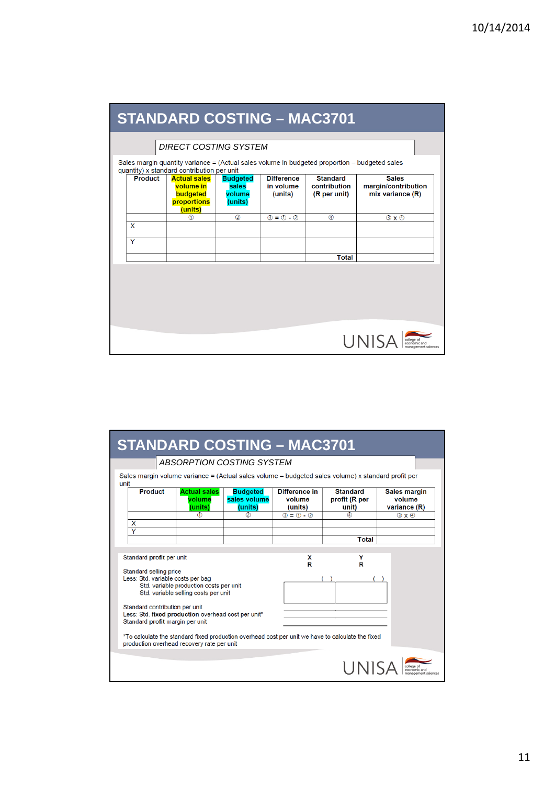|                | <b>STANDARD COSTING - MAC3701</b><br><b>DIRECT COSTING SYSTEM</b>      |                                               |                                           |                                                                                               |                                                         |
|----------------|------------------------------------------------------------------------|-----------------------------------------------|-------------------------------------------|-----------------------------------------------------------------------------------------------|---------------------------------------------------------|
|                | quantity) x standard contribution per unit                             |                                               |                                           | Sales margin quantity variance = (Actual sales volume in budgeted proportion – budgeted sales |                                                         |
| <b>Product</b> | <b>Actual sales</b><br>volume in<br>budgeted<br>proportions<br>(units) | <b>Budgeted</b><br>sales<br>volume<br>(units) | <b>Difference</b><br>in volume<br>(units) | <b>Standard</b><br>contribution<br>(R per unit)                                               | <b>Sales</b><br>margin/contribution<br>mix variance (R) |
| X              | $\overline{0}$                                                         | $\overline{a}$                                | $(3) = (1) - (2)$                         | 4                                                                                             | 3x0                                                     |
| Y              |                                                                        |                                               |                                           |                                                                                               |                                                         |
|                |                                                                        |                                               |                                           | <b>Total</b>                                                                                  |                                                         |
|                |                                                                        |                                               |                                           |                                                                                               |                                                         |
|                |                                                                        |                                               |                                           |                                                                                               |                                                         |
|                |                                                                        |                                               |                                           |                                                                                               | UNIS,                                                   |

|      |                                                                                                                                                                                                                                                                   |                                                                                 |                                            | <b>STANDARD COSTING - MAC3701</b>  |                                                                                                             |                                               |
|------|-------------------------------------------------------------------------------------------------------------------------------------------------------------------------------------------------------------------------------------------------------------------|---------------------------------------------------------------------------------|--------------------------------------------|------------------------------------|-------------------------------------------------------------------------------------------------------------|-----------------------------------------------|
|      |                                                                                                                                                                                                                                                                   |                                                                                 | ABSORPTION COSTING SYSTEM                  |                                    |                                                                                                             |                                               |
| unit |                                                                                                                                                                                                                                                                   |                                                                                 |                                            |                                    | Sales margin volume variance = (Actual sales volume – budgeted sales volume) x standard profit per          |                                               |
|      | <b>Product</b>                                                                                                                                                                                                                                                    | <b>Actual sales</b><br>volume<br>(units)                                        | <b>Budgeted</b><br>sales volume<br>(units) | Difference in<br>volume<br>(units) | <b>Standard</b><br>profit (R per<br>unit)                                                                   | <b>Sales margin</b><br>volume<br>variance (R) |
|      | X                                                                                                                                                                                                                                                                 | $\bigcirc$                                                                      | $\circled{2}$                              | $(3) = (1) - (2)$                  | $\circled{4}$                                                                                               | $(3) \times (4)$                              |
|      | $\overline{\mathsf{Y}}$                                                                                                                                                                                                                                           |                                                                                 |                                            |                                    | <b>Total</b>                                                                                                |                                               |
|      | Standard profit per unit<br>Standard selling price<br>Less: Std. variable costs per bag<br>Standard contribution per unit<br>Less: Std. fixed production overhead cost per unit*<br>Standard profit margin per unit<br>production overhead recovery rate per unit | Std. variable production costs per unit<br>Std. variable selling costs per unit |                                            | x<br>R                             | Y<br>R<br>*To calculate the standard fixed production overhead cost per unit we have to calculate the fixed |                                               |
|      |                                                                                                                                                                                                                                                                   |                                                                                 |                                            |                                    | <b>UNIS</b>                                                                                                 |                                               |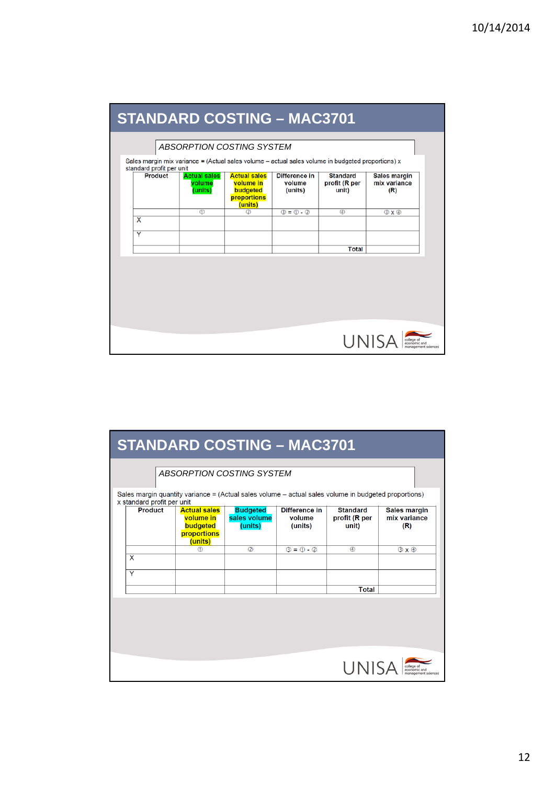| standard profit per unit<br>Product | <b>Actual sales</b><br>volume<br>(units) | <b>Actual sales</b><br>volume in<br>budgeted<br>proportions<br>(units) | Difference in<br>volume<br>(units) | <b>Standard</b><br>profit (R per<br>unit) | <b>Sales margin</b><br>mix variance<br>(R) |
|-------------------------------------|------------------------------------------|------------------------------------------------------------------------|------------------------------------|-------------------------------------------|--------------------------------------------|
|                                     | $\circ$                                  | $\circ$                                                                | $B = 0 - 2$                        | $\circled{a}$                             | $\circledcirc$ x $\circledcirc$            |
| $\overline{\mathsf{x}}$             |                                          |                                                                        |                                    |                                           |                                            |
| Ÿ                                   |                                          |                                                                        |                                    |                                           |                                            |
|                                     |                                          |                                                                        |                                    | <b>Total</b>                              |                                            |
|                                     |                                          |                                                                        |                                    |                                           |                                            |
|                                     |                                          |                                                                        |                                    |                                           |                                            |
|                                     |                                          |                                                                        |                                    |                                           |                                            |

| <b>STANDARD COSTING - MAC3701</b><br>ABSORPTION COSTING SYSTEM |                                                                        |                                            |                                    |                                                                                                                                                       |                                            |
|----------------------------------------------------------------|------------------------------------------------------------------------|--------------------------------------------|------------------------------------|-------------------------------------------------------------------------------------------------------------------------------------------------------|--------------------------------------------|
| x standard profit per unit<br><b>Product</b>                   | <b>Actual sales</b><br>volume in<br>budgeted<br>proportions<br>(units) | <b>Budgeted</b><br>sales volume<br>(units) | Difference in<br>volume<br>(units) | Sales margin quantity variance $=$ (Actual sales volume $-$ actual sales volume in budgeted proportions)<br><b>Standard</b><br>profit (R per<br>unit) | <b>Sales margin</b><br>mix variance<br>(R) |
| X                                                              | $^{\circ}$                                                             | $\circled{2}$                              | $(3) = (1) - (2)$                  | $\circled{4}$                                                                                                                                         | 3x0                                        |
| Y                                                              |                                                                        |                                            |                                    |                                                                                                                                                       |                                            |
|                                                                |                                                                        |                                            |                                    | <b>Total</b>                                                                                                                                          |                                            |
|                                                                |                                                                        |                                            |                                    |                                                                                                                                                       |                                            |
|                                                                |                                                                        |                                            |                                    | <b>UNISA</b>                                                                                                                                          |                                            |